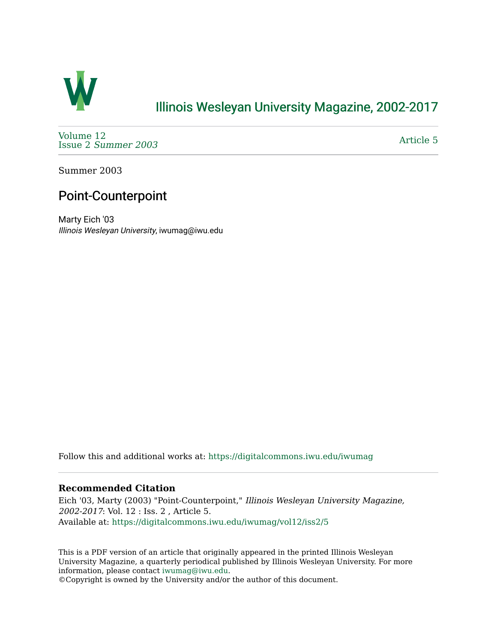

## [Illinois Wesleyan University Magazine, 2002-2017](https://digitalcommons.iwu.edu/iwumag)

[Volume 12](https://digitalcommons.iwu.edu/iwumag/vol12)  Issue 2 [Summer 2003](https://digitalcommons.iwu.edu/iwumag/vol12/iss2) 

[Article 5](https://digitalcommons.iwu.edu/iwumag/vol12/iss2/5) 

Summer 2003

# Point-Counterpoint

Marty Eich '03 Illinois Wesleyan University, iwumag@iwu.edu

Follow this and additional works at: [https://digitalcommons.iwu.edu/iwumag](https://digitalcommons.iwu.edu/iwumag?utm_source=digitalcommons.iwu.edu%2Fiwumag%2Fvol12%2Fiss2%2F5&utm_medium=PDF&utm_campaign=PDFCoverPages) 

#### **Recommended Citation**

Eich '03, Marty (2003) "Point-Counterpoint," Illinois Wesleyan University Magazine, 2002-2017: Vol. 12 : Iss. 2 , Article 5. Available at: [https://digitalcommons.iwu.edu/iwumag/vol12/iss2/5](https://digitalcommons.iwu.edu/iwumag/vol12/iss2/5?utm_source=digitalcommons.iwu.edu%2Fiwumag%2Fvol12%2Fiss2%2F5&utm_medium=PDF&utm_campaign=PDFCoverPages)

This is a PDF version of an article that originally appeared in the printed Illinois Wesleyan University Magazine, a quarterly periodical published by Illinois Wesleyan University. For more information, please contact [iwumag@iwu.edu](mailto:iwumag@iwu.edu).

©Copyright is owned by the University and/or the author of this document.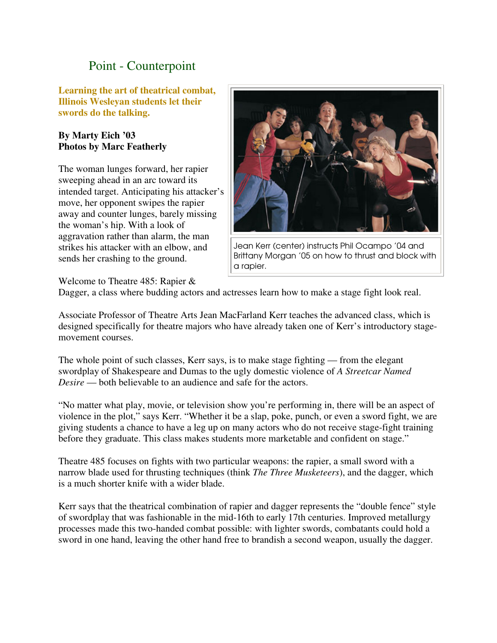### Point - Counterpoint

**Learning the art of theatrical combat, Illinois Wesleyan students let their swords do the talking.** 

#### **By Marty Eich '03 Photos by Marc Featherly**

The woman lunges forward, her rapier sweeping ahead in an arc toward its intended target. Anticipating his attacker's move, her opponent swipes the rapier away and counter lunges, barely missing the woman's hip. With a look of aggravation rather than alarm, the man strikes his attacker with an elbow, and sends her crashing to the ground.



Jean Kerr (center) instructs Phil Ocampo '04 and Brittany Morgan '05 on how to thrust and block with a rapier.

Welcome to Theatre 485: Rapier &

Dagger, a class where budding actors and actresses learn how to make a stage fight look real.

Associate Professor of Theatre Arts Jean MacFarland Kerr teaches the advanced class, which is designed specifically for theatre majors who have already taken one of Kerr's introductory stagemovement courses.

The whole point of such classes, Kerr says, is to make stage fighting — from the elegant swordplay of Shakespeare and Dumas to the ugly domestic violence of *A Streetcar Named Desire* — both believable to an audience and safe for the actors.

"No matter what play, movie, or television show you're performing in, there will be an aspect of violence in the plot," says Kerr. "Whether it be a slap, poke, punch, or even a sword fight, we are giving students a chance to have a leg up on many actors who do not receive stage-fight training before they graduate. This class makes students more marketable and confident on stage."

Theatre 485 focuses on fights with two particular weapons: the rapier, a small sword with a narrow blade used for thrusting techniques (think *The Three Musketeers*), and the dagger, which is a much shorter knife with a wider blade.

Kerr says that the theatrical combination of rapier and dagger represents the "double fence" style of swordplay that was fashionable in the mid-16th to early 17th centuries. Improved metallurgy processes made this two-handed combat possible: with lighter swords, combatants could hold a sword in one hand, leaving the other hand free to brandish a second weapon, usually the dagger.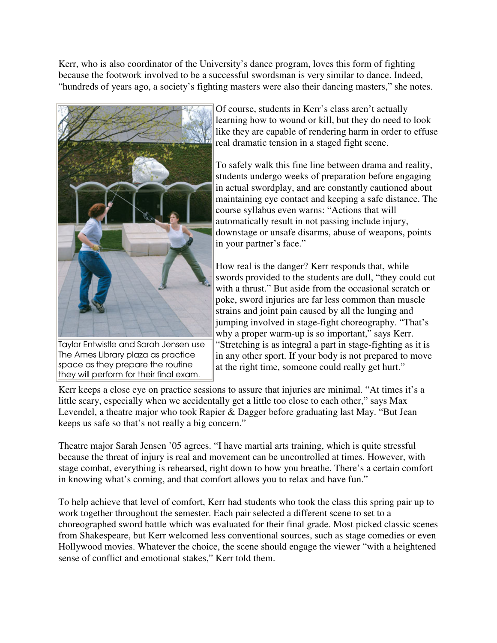Kerr, who is also coordinator of the University's dance program, loves this form of fighting because the footwork involved to be a successful swordsman is very similar to dance. Indeed, "hundreds of years ago, a society's fighting masters were also their dancing masters," she notes.



Taylor Entwistle and Sarah Jensen use The Ames Library plaza as practice space as they prepare the routine they will perform for their final exam.

Of course, students in Kerr's class aren't actually learning how to wound or kill, but they do need to look like they are capable of rendering harm in order to effuse real dramatic tension in a staged fight scene.

To safely walk this fine line between drama and reality, students undergo weeks of preparation before engaging in actual swordplay, and are constantly cautioned about maintaining eye contact and keeping a safe distance. The course syllabus even warns: "Actions that will automatically result in not passing include injury, downstage or unsafe disarms, abuse of weapons, points in your partner's face."

How real is the danger? Kerr responds that, while swords provided to the students are dull, "they could cut with a thrust." But aside from the occasional scratch or poke, sword injuries are far less common than muscle strains and joint pain caused by all the lunging and jumping involved in stage-fight choreography. "That's why a proper warm-up is so important," says Kerr. "Stretching is as integral a part in stage-fighting as it is in any other sport. If your body is not prepared to move at the right time, someone could really get hurt."

Kerr keeps a close eye on practice sessions to assure that injuries are minimal. "At times it's a little scary, especially when we accidentally get a little too close to each other," says Max Levendel, a theatre major who took Rapier & Dagger before graduating last May. "But Jean keeps us safe so that's not really a big concern."

Theatre major Sarah Jensen '05 agrees. "I have martial arts training, which is quite stressful because the threat of injury is real and movement can be uncontrolled at times. However, with stage combat, everything is rehearsed, right down to how you breathe. There's a certain comfort in knowing what's coming, and that comfort allows you to relax and have fun."

To help achieve that level of comfort, Kerr had students who took the class this spring pair up to work together throughout the semester. Each pair selected a different scene to set to a choreographed sword battle which was evaluated for their final grade. Most picked classic scenes from Shakespeare, but Kerr welcomed less conventional sources, such as stage comedies or even Hollywood movies. Whatever the choice, the scene should engage the viewer "with a heightened sense of conflict and emotional stakes," Kerr told them.